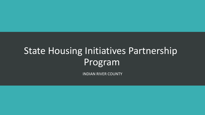# State Housing Initiatives Partnership Program

INDIAN RIVER COUNTY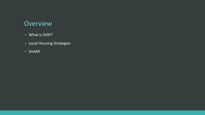### **Overview**

- What is SHIP?
- Local Housing Strategies
- SHARP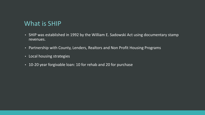## What is SHIP

- SHIP was established in 1992 by the William E. Sadowski Act using documentary stamp revenues.
- Partnership with County, Lenders, Realtors and Non Profit Housing Programs
- Local housing strategies
- 10-20 year forgivable loan: 10 for rehab and 20 for purchase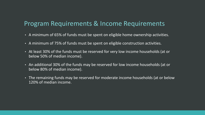### Program Requirements & Income Requirements

- A minimum of 65% of funds must be spent on eligible home ownership activities.
- A minimum of 75% of funds must be spent on eligible construction activities.
- At least 30% of the funds must be reserved for very low income households (at or below 50% of median income).
- An additional 30% of the funds may be reserved for low income households (at or below 80% of median income).
- The remaining funds may be reserved for moderate income households (at or below 120% of median income.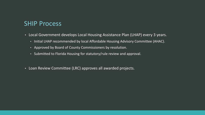### SHIP Process

- Local Government develops Local Housing Assistance Plan (LHAP) every 3 years.
	- Initial LHAP recommended by local Affordable Housing Advisory Committee (AHAC).
	- Approved by Board of County Commissioners by resolution.
	- Submitted to Florida Housing for statutory/rule review and approval.
- Loan Review Committee (LRC) approves all awarded projects.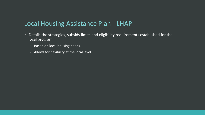### Local Housing Assistance Plan - LHAP

- Details the strategies, subsidy limits and eligibility requirements established for the local program.
	- Based on local housing needs.
	- Allows for flexibility at the local level.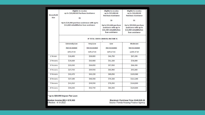|                  | <b>Eligible to receive</b><br>up to \$20,000.00 Purchase Assistance                      |                 | <b>Eligible to receive</b><br>up to \$15,000.00                                                | <b>Eligible to receive</b><br>up to \$10,000.00                                                |
|------------------|------------------------------------------------------------------------------------------|-----------------|------------------------------------------------------------------------------------------------|------------------------------------------------------------------------------------------------|
| Household        |                                                                                          |                 | <b>Purchase Assistance</b>                                                                     | <b>Purchase Assistance</b>                                                                     |
| Size             | Or                                                                                       |                 |                                                                                                |                                                                                                |
|                  |                                                                                          |                 | Or                                                                                             | Or                                                                                             |
|                  | Up to \$20,000 purchase assistance with up to<br>\$12,000 rehabilitation loan assistance |                 | Up to \$15,000 purchase<br>assistance with up to<br>\$11,500 rehabilitation<br>loan assistance | Up to \$10,000 purchase<br>assistance with up to<br>\$11,000 rehabilitation<br>loan assistance |
|                  | <b>IF TOTAL GROSS ANNUAL INCOME IS</b>                                                   |                 |                                                                                                |                                                                                                |
|                  | <b>Extremely Low</b>                                                                     | <b>Very Low</b> | Low                                                                                            | <b>Moderate</b>                                                                                |
|                  | <b>Not to Exceed</b>                                                                     | Not to Exceed   | Not to Exceed                                                                                  | Not to Exceed                                                                                  |
|                  | 30% of MI                                                                                | 50% of MI       | 80% of MI                                                                                      | 120% of MI                                                                                     |
| 1 Person         | \$16,800                                                                                 | \$28,000        | \$44,750                                                                                       | \$67,200                                                                                       |
| 2 Persons        | \$19,200                                                                                 | \$32,000        | \$51,150                                                                                       | \$76,800                                                                                       |
| 3 Persons        | \$23,030                                                                                 | \$36,850        | \$57,550                                                                                       | \$86,400                                                                                       |
| 4 Persons        | \$27,750                                                                                 | \$39,950        | \$63,900                                                                                       | \$95,880                                                                                       |
| 5 Persons        | \$32,470                                                                                 | \$43,150        | \$69,050                                                                                       | \$103,560                                                                                      |
| 6 Persons        | \$37,190                                                                                 | \$46,350        | \$74,150                                                                                       | \$111,240                                                                                      |
| <b>7 Persons</b> | \$41,910                                                                                 | \$49,550        | \$79,250                                                                                       | \$118,920                                                                                      |
| 8 Persons        | \$46,630                                                                                 | \$52,750        | \$84,350                                                                                       | \$126,600                                                                                      |

#### \*\*up to \$20,000 Impact Fee Loan

Median Income (MI) = \$79,900<br>Effective: 4-18-2022

#### Maximum Purchase Price \$349,525.00 Source: Florida Housing Finance Agency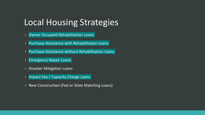## Local Housing Strategies

- Owner Occupied Rehabilitation Loans
- Purchase Assistance with Rehabilitation Loans
- Purchase Assistance without Rehabilitation Loans
- Emergency Repair Loans
- Disaster Mitigation Loans
- Impact Fee / Capacity Charge Loans
- New Construction (Fed or State Matching Loans)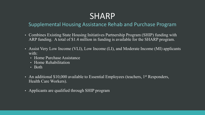## SHARP

### Supplemental Housing Assistance Rehab and Purchase Program

- Combines Existing State Housing Initiatives Partnership Program (SHIP) funding with ARP funding. A total of \$1.4 million in funding is available for the SHARP program.
- Assist Very Low Income (VLI), Low Income (LI), and Moderate Income (MI) applicants with:
	- Home Purchase Assistance
	- Home Rehabilitation
	- Both
- An additional \$10,000 available to Essential Employees (teachers, 1<sup>st</sup> Responders, Health Care Workers).
- Applicants are qualified through SHIP program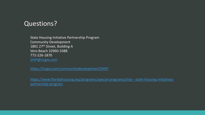### Questions?

State Housing Initiative Partnership Program Community Development 1801 27<sup>th</sup> Street, Building A Vero Beach 32960-3388 772-226-1870 [SHIP@ircgov.com](mailto:SHIP@ircgov.com)

<https://ircgov.com/communitydevelopment/SHIP/>

[https://www.floridahousing.org/programs/special-programs/ship---state-housing-initiatives](https://www.floridahousing.org/programs/special-programs/ship---state-housing-initiatives-partnership-program)[partnership-program](https://www.floridahousing.org/programs/special-programs/ship---state-housing-initiatives-partnership-program)